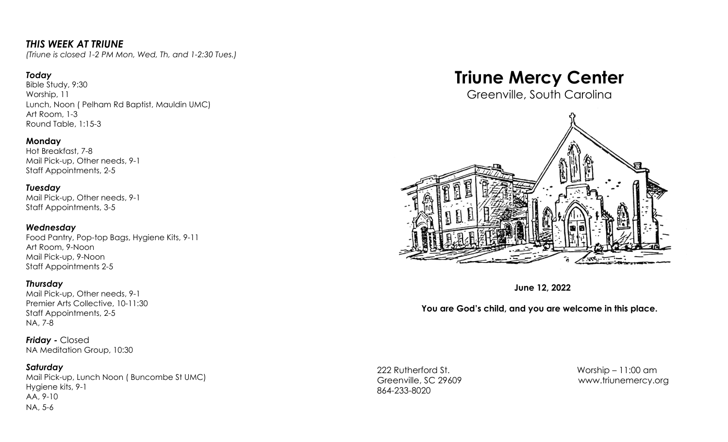# *THIS WEEK AT TRIUNE*

*(Triune is closed 1-2 PM Mon, Wed, Th, and 1-2:30 Tues.)*

## *Today*

Bible Study, 9:30 Worship, 11 Lunch, Noon ( Pelham Rd Baptist, Mauldin UMC) Art Room, 1-3 Round Table, 1:15-3

#### **Monday**

Hot Breakfast, 7-8 Mail Pick-up, Other needs, 9-1 Staff Appointments, 2-5

#### *Tuesday*

Mail Pick-up, Other needs, 9-1 Staff Appointments, 3-5

#### *Wednesday*

Food Pantry, Pop-top Bags, Hygiene Kits, 9-11 Art Room, 9-Noon Mail Pick-up, 9-Noon Staff Appointments 2-5

#### *Thursday*

Mail Pick-up, Other needs, 9-1 Premier Arts Collective, 10-11:30 Staff Appointments, 2-5 NA, 7-8

*Friday -* Closed NA Meditation Group, 10:30

#### *Saturday*

Mail Pick-up, Lunch Noon ( Buncombe St UMC) Hygiene kits, 9-1 AA, 9-10 NA, 5-6

# **Triune Mercy Center**

Greenville, South Carolina



**June 12, 2022**

## **You are God's child, and you are welcome in this place.**

222 Rutherford St. Worship – 11:00 am 864-233-8020

Greenville, SC 29609 [www.triunemercy.org](http://www.triunemercy.org)